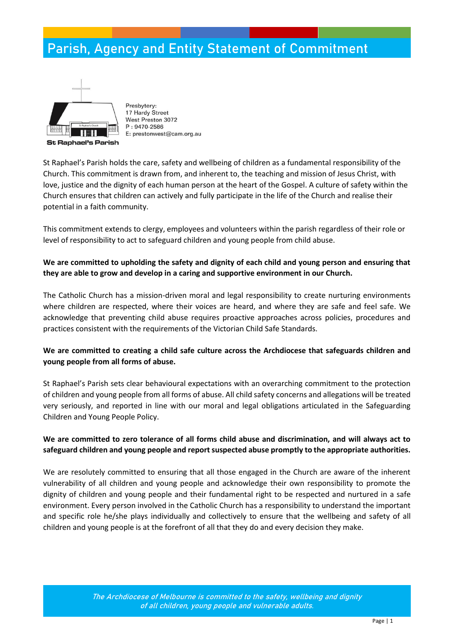## **Parish, Agency and Entity Statement of Commitment**



Presbytery: 17 Hardy Street West Preston 3072 P: 9470-2586 E: prestonwest@cam.org.au

St Raphael's Parish holds the care, safety and wellbeing of children as a fundamental responsibility of the Church. This commitment is drawn from, and inherent to, the teaching and mission of Jesus Christ, with love, justice and the dignity of each human person at the heart of the Gospel. A culture of safety within the Church ensures that children can actively and fully participate in the life of the Church and realise their potential in a faith community.

This commitment extends to clergy, employees and volunteers within the parish regardless of their role or level of responsibility to act to safeguard children and young people from child abuse.

### **We are committed to upholding the safety and dignity of each child and young person and ensuring that they are able to grow and develop in a caring and supportive environment in our Church.**

The Catholic Church has a mission-driven moral and legal responsibility to create nurturing environments where children are respected, where their voices are heard, and where they are safe and feel safe. We acknowledge that preventing child abuse requires proactive approaches across policies, procedures and practices consistent with the requirements of the Victorian Child Safe Standards.

#### **We are committed to creating a child safe culture across the Archdiocese that safeguards children and young people from all forms of abuse.**

St Raphael's Parish sets clear behavioural expectations with an overarching commitment to the protection of children and young people from all forms of abuse. All child safety concerns and allegations will be treated very seriously, and reported in line with our moral and legal obligations articulated in the Safeguarding Children and Young People Policy.

#### **We are committed to zero tolerance of all forms child abuse and discrimination, and will always act to safeguard children and young people and report suspected abuse promptly to the appropriate authorities.**

We are resolutely committed to ensuring that all those engaged in the Church are aware of the inherent vulnerability of all children and young people and acknowledge their own responsibility to promote the dignity of children and young people and their fundamental right to be respected and nurtured in a safe environment. Every person involved in the Catholic Church has a responsibility to understand the important and specific role he/she plays individually and collectively to ensure that the wellbeing and safety of all children and young people is at the forefront of all that they do and every decision they make.